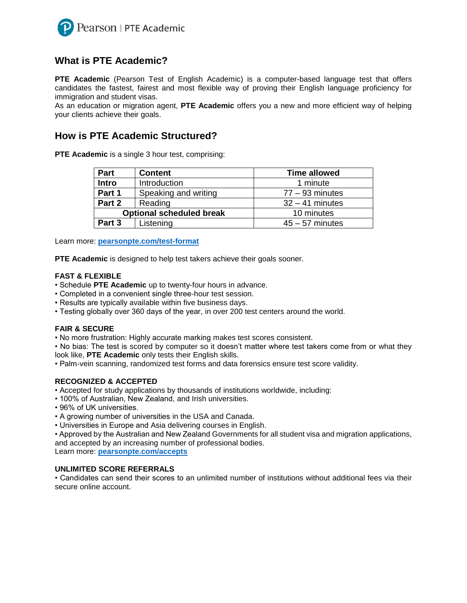

#### **What is PTE Academic?**

**PTE Academic** (Pearson Test of English Academic) is a computer-based language test that offers candidates the fastest, fairest and most flexible way of proving their English language proficiency for immigration and student visas.

As an education or migration agent, **PTE Academic** offers you a new and more efficient way of helping your clients achieve their goals.

#### **How is PTE Academic Structured?**

**PTE Academic** is a single 3 hour test, comprising:

| Part                            | <b>Content</b>       | <b>Time allowed</b> |  |  |
|---------------------------------|----------------------|---------------------|--|--|
| <b>Intro</b>                    | Introduction         | 1 minute            |  |  |
| Part 1                          | Speaking and writing | $77 - 93$ minutes   |  |  |
| Part 2                          | Reading              | $32 - 41$ minutes   |  |  |
| <b>Optional scheduled break</b> |                      | 10 minutes          |  |  |
| Part 3                          | Listening            | $45 - 57$ minutes   |  |  |

Learn more: **[pearsonpte.com/test-format](http://www.pearsonpte.com/test-format)**

**PTE Academic** is designed to help test takers achieve their goals sooner.

#### **FAST & FLEXIBLE**

- Schedule **PTE Academic** up to twenty-four hours in advance.
- Completed in a convenient single three-hour test session.
- Results are typically available within five business days.
- Testing globally over 360 days of the year, in over 200 test centers around the world.

#### **FAIR & SECURE**

- No more frustration: Highly accurate marking makes test scores consistent.
- No bias: The test is scored by computer so it doesn't matter where test takers come from or what they look like, **PTE Academic** only tests their English skills.
- Palm-vein scanning, randomized test forms and data forensics ensure test score validity.

#### **RECOGNIZED & ACCEPTED**

- Accepted for study applications by thousands of institutions worldwide, including:
- 100% of Australian, New Zealand, and Irish universities.
- 96% of UK universities.
- A growing number of universities in the USA and Canada.
- Universities in Europe and Asia delivering courses in English.
- Approved by the Australian and New Zealand Governments for all student visa and migration applications, and accepted by an increasing number of professional bodies.

Learn more: **[pearsonpte.com/accepts](http://www.pearsonpte.com/accepts)**

#### **UNLIMITED SCORE REFERRALS**

• Candidates can send their scores to an unlimited number of institutions without additional fees via their secure online account.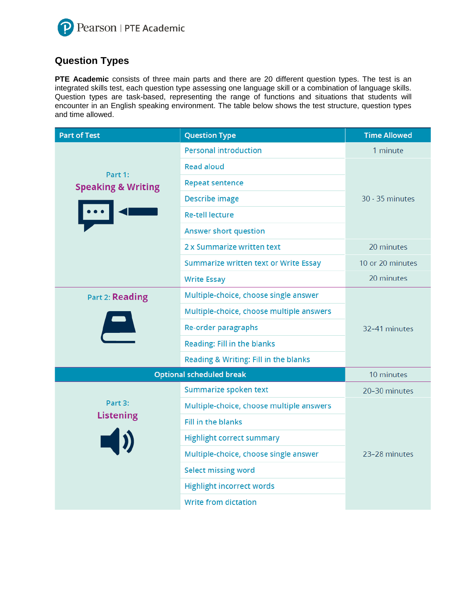

#### **Question Types**

**PTE Academic** consists of three main parts and there are 20 different question types. The test is an integrated skills test, each question type assessing one language skill or a combination of language skills. Question types are task-based, representing the range of functions and situations that students will encounter in an English speaking environment. The table below shows the test structure, question types and time allowed.

| <b>Part of Test</b>             | <b>Question Type</b>                         | <b>Time Allowed</b> |  |  |
|---------------------------------|----------------------------------------------|---------------------|--|--|
|                                 | <b>Personal introduction</b>                 | 1 minute            |  |  |
| Part 1:                         | <b>Read aloud</b>                            |                     |  |  |
| <b>Speaking &amp; Writing</b>   | <b>Repeat sentence</b>                       |                     |  |  |
|                                 | <b>Describe image</b>                        | 30 - 35 minutes     |  |  |
|                                 | <b>Re-tell lecture</b>                       |                     |  |  |
|                                 | <b>Answer short question</b>                 |                     |  |  |
|                                 | 2 x Summarize written text                   | 20 minutes          |  |  |
|                                 | <b>Summarize written text or Write Essay</b> | 10 or 20 minutes    |  |  |
|                                 | <b>Write Essay</b>                           | 20 minutes          |  |  |
| Part 2: Reading                 | Multiple-choice, choose single answer        |                     |  |  |
|                                 | Multiple-choice, choose multiple answers     |                     |  |  |
|                                 | Re-order paragraphs                          | 32-41 minutes       |  |  |
|                                 | <b>Reading: Fill in the blanks</b>           |                     |  |  |
|                                 | Reading & Writing: Fill in the blanks        |                     |  |  |
| <b>Optional scheduled break</b> | 10 minutes                                   |                     |  |  |
|                                 | Summarize spoken text                        | 20-30 minutes       |  |  |
| Part 3:                         | Multiple-choice, choose multiple answers     |                     |  |  |
| <b>Listening</b>                | <b>Fill in the blanks</b>                    |                     |  |  |
|                                 | <b>Highlight correct summary</b>             |                     |  |  |
|                                 | Multiple-choice, choose single answer        | 23-28 minutes       |  |  |
|                                 | <b>Select missing word</b>                   |                     |  |  |
|                                 | <b>Highlight incorrect words</b>             |                     |  |  |
|                                 | <b>Write from dictation</b>                  |                     |  |  |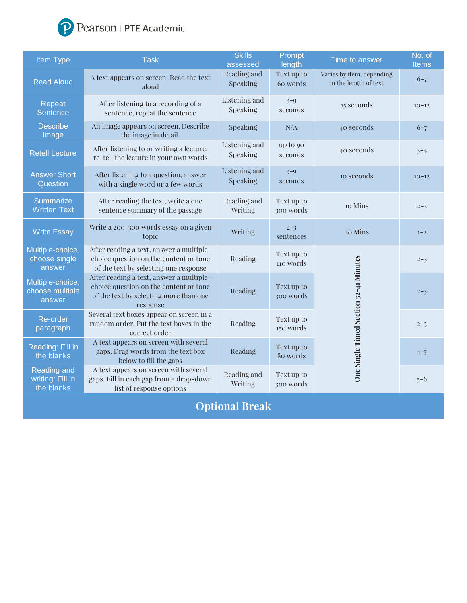

| Item Type                                            | <b>Task</b>                                                                                                                              | <b>Skills</b><br>assessed | Prompt<br>length        | Time to answer                                      | No. of<br>Items |
|------------------------------------------------------|------------------------------------------------------------------------------------------------------------------------------------------|---------------------------|-------------------------|-----------------------------------------------------|-----------------|
| <b>Read Aloud</b>                                    | A text appears on screen, Read the text<br>aloud                                                                                         | Reading and<br>Speaking   | Text up to<br>60 words  | Varies by item, depending<br>on the length of text. | $6 - 7$         |
| Repeat<br>Sentence                                   | After listening to a recording of a<br>sentence, repeat the sentence                                                                     | Listening and<br>Speaking | $3 - 9$<br>seconds      | 15 seconds                                          | $10 - 12$       |
| <b>Describe</b><br>Image                             | An image appears on screen. Describe<br>the image in detail.                                                                             | Speaking                  | N/A                     | 40 seconds                                          | $6 - 7$         |
| <b>Retell Lecture</b>                                | After listening to or writing a lecture,<br>re-tell the lecture in your own words                                                        | Listening and<br>Speaking | up to 90<br>seconds     | 40 seconds                                          | $3 - 4$         |
| <b>Answer Short</b><br>Question                      | After listening to a question, answer<br>with a single word or a few words                                                               | Listening and<br>Speaking | $3 - 9$<br>seconds      | to seconds                                          | $10 - 12$       |
| Summarize<br><b>Written Text</b>                     | After reading the text, write a one<br>sentence summary of the passage                                                                   | Reading and<br>Writing    | Text up to<br>300 words | 10 Mins                                             | $2 - 3$         |
| <b>Write Essay</b>                                   | Write a 200-300 words essay on a given<br>topic                                                                                          | Writing                   | $2 - 3$<br>sentences    | 20 Mins                                             | $1 - 2$         |
| Multiple-choice,<br>choose single<br>answer          | After reading a text, answer a multiple-<br>choice question on the content or tone<br>of the text by selecting one response              | Reading                   | Text up to<br>110 words |                                                     | $2 - 3$         |
| Multiple-choice,<br>choose multiple<br>answer        | After reading a text, answer a multiple-<br>choice question on the content or tone<br>of the text by selecting more than one<br>response | Reading                   | Text up to<br>300 words | One Single Timed Section 32-41 Minutes              | $2 - 3$         |
| Re-order<br>paragraph                                | Several text boxes appear on screen in a<br>random order. Put the text boxes in the<br>correct order                                     | Reading                   | Text up to<br>150 words |                                                     | $2 - 3$         |
| Reading: Fill in<br>the blanks                       | A text appears on screen with several<br>gaps. Drag words from the text box<br>below to fill the gaps                                    | Reading                   | Text up to<br>80 words  |                                                     | $4 - 5$         |
| <b>Reading and</b><br>writing: Fill in<br>the blanks | A text appears on screen with several<br>gaps. Fill in each gap from a drop-down<br>list of response options                             | Reading and<br>Writing    | Text up to<br>300 words |                                                     | $5 - 6$         |
|                                                      |                                                                                                                                          |                           |                         |                                                     |                 |

**Optional Break**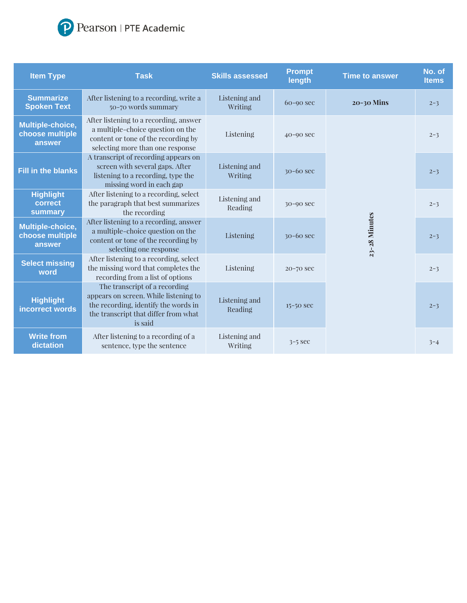

| <b>Item Type</b>                              | <b>Task</b>                                                                                                                                                       | <b>Skills assessed</b>   | <b>Prompt</b><br>length | <b>Time to answer</b> | No. of<br><b>Items</b> |
|-----------------------------------------------|-------------------------------------------------------------------------------------------------------------------------------------------------------------------|--------------------------|-------------------------|-----------------------|------------------------|
| <b>Summarize</b><br><b>Spoken Text</b>        | After listening to a recording, write a<br>50-70 words summary                                                                                                    | Listening and<br>Writing | 60-90 sec               | <b>20-30 Mins</b>     | $2 - 3$                |
| Multiple-choice,<br>choose multiple<br>answer | After listening to a recording, answer<br>a multiple-choice question on the<br>content or tone of the recording by<br>selecting more than one response            | Listening                | 40-90 sec               | 23-28 Minutes         | $2 - 3$                |
| Fill in the blanks                            | A transcript of recording appears on<br>screen with several gaps. After<br>listening to a recording, type the<br>missing word in each gap                         | Listening and<br>Writing | $30 - 60$ sec           |                       | $2 - 3$                |
| <b>Highlight</b><br>correct<br>summary        | After listening to a recording, select<br>the paragraph that best summarizes<br>the recording                                                                     | Listening and<br>Reading | 30-90 sec               |                       | $2 - 3$                |
| Multiple-choice,<br>choose multiple<br>answer | After listening to a recording, answer<br>a multiple-choice question on the<br>content or tone of the recording by<br>selecting one response                      | Listening                | $30 - 60$ sec           |                       | $2 - 3$                |
| <b>Select missing</b><br>word                 | After listening to a recording, select<br>the missing word that completes the<br>recording from a list of options                                                 | Listening                | 20-70 sec               |                       | $2 - 3$                |
| <b>Highlight</b><br>incorrect words           | The transcript of a recording<br>appears on screen. While listening to<br>the recording, identify the words in<br>the transcript that differ from what<br>is said | Listening and<br>Reading | 15-50 sec               |                       | $2 - 3$                |
| <b>Write from</b><br>dictation                | After listening to a recording of a<br>sentence, type the sentence                                                                                                | Listening and<br>Writing | $3-5$ sec               |                       | $3 - 4$                |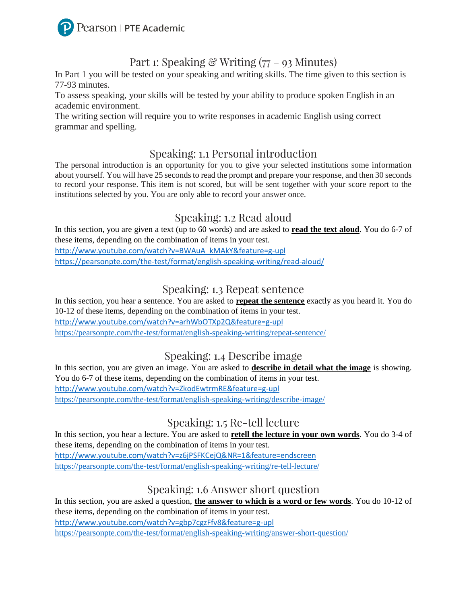

#### Part 1: Speaking & Writing  $(77 - 93)$  Minutes)

In Part 1 you will be tested on your speaking and writing skills. The time given to this section is 77-93 minutes.

To assess speaking, your skills will be tested by your ability to produce spoken English in an academic environment.

The writing section will require you to write responses in academic English using correct grammar and spelling.

#### Speaking: 1.1 Personal introduction

The personal introduction is an opportunity for you to give your selected institutions some information about yourself. You will have 25 seconds to read the prompt and prepare your response, and then 30 seconds to record your response. This item is not scored, but will be sent together with your score report to the institutions selected by you. You are only able to record your answer once.

#### Speaking: 1.2 Read aloud

In this section, you are given a text (up to 60 words) and are asked to **read the text aloud**. You do 6-7 of these items, depending on the combination of items in your test.

[http://www.youtube.com/watch?v=BWAuA\\_kMAkY&feature=g-upl](http://www.youtube.com/watch?v=BWAuA_kMAkY&feature=g-upl) <https://pearsonpte.com/the-test/format/english-speaking-writing/read-aloud/>

#### Speaking: 1.3 Repeat sentence

In this section, you hear a sentence. You are asked to **repeat the sentence** exactly as you heard it. You do 10-12 of these items, depending on the combination of items in your test. <http://www.youtube.com/watch?v=arhWbOTXp2Q&feature=g-upl> <https://pearsonpte.com/the-test/format/english-speaking-writing/repeat-sentence/>

#### Speaking: 1.4 Describe image

In this section, you are given an image. You are asked to **describe in detail what the image** is showing. You do 6-7 of these items, depending on the combination of items in your test. <http://www.youtube.com/watch?v=ZkodEwtrmRE&feature=g-upl> <https://pearsonpte.com/the-test/format/english-speaking-writing/describe-image/>

## Speaking: 1.5 Re-tell lecture

In this section, you hear a lecture. You are asked to **retell the lecture in your own words**. You do 3-4 of these items, depending on the combination of items in your test. <http://www.youtube.com/watch?v=z6jPSFKCejQ&NR=1&feature=endscreen> <https://pearsonpte.com/the-test/format/english-speaking-writing/re-tell-lecture/>

#### Speaking: 1.6 Answer short question

In this section, you are asked a question, **the answer to which is a word or few words**. You do 10-12 of these items, depending on the combination of items in your test. <http://www.youtube.com/watch?v=gbp7cgzFfv8&feature=g-upl> <https://pearsonpte.com/the-test/format/english-speaking-writing/answer-short-question/>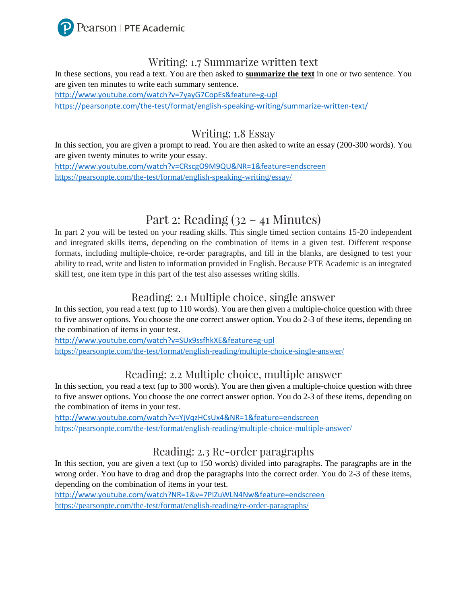

#### Writing: 1.7 Summarize written text

In these sections, you read a text. You are then asked to **summarize the text** in one or two sentence. You are given ten minutes to write each summary sentence.

<http://www.youtube.com/watch?v=7yayG7CopEs&feature=g-upl>

https://pearsonpte.com/the-test/format/english-speaking-writing/summarize-written-text/

#### Writing: 1.8 Essay

In this section, you are given a prompt to read. You are then asked to write an essay (200-300 words). You are given twenty minutes to write your essay. <http://www.youtube.com/watch?v=CRscgO9M9QU&NR=1&feature=endscreen>

<https://pearsonpte.com/the-test/format/english-speaking-writing/essay/>

# Part 2: Reading (32 – 41 Minutes)

In part 2 you will be tested on your reading skills. This single timed section contains 15-20 independent and integrated skills items, depending on the combination of items in a given test. Different response formats, including multiple-choice, re-order paragraphs, and fill in the blanks, are designed to test your ability to read, write and listen to information provided in English. Because PTE Academic is an integrated skill test, one item type in this part of the test also assesses writing skills.

#### Reading: 2.1 Multiple choice, single answer

In this section, you read a text (up to 110 words). You are then given a multiple-choice question with three to five answer options. You choose the one correct answer option. You do 2-3 of these items, depending on the combination of items in your test.

<http://www.youtube.com/watch?v=SUx9ssfhkXE&feature=g-upl> <https://pearsonpte.com/the-test/format/english-reading/multiple-choice-single-answer/>

#### Reading: 2.2 Multiple choice, multiple answer

In this section, you read a text (up to 300 words). You are then given a multiple-choice question with three to five answer options. You choose the one correct answer option. You do 2-3 of these items, depending on the combination of items in your test.

<http://www.youtube.com/watch?v=YjVqzHCsUx4&NR=1&feature=endscreen> <https://pearsonpte.com/the-test/format/english-reading/multiple-choice-multiple-answer/>

#### Reading: 2.3 Re-order paragraphs

In this section, you are given a text (up to 150 words) divided into paragraphs. The paragraphs are in the wrong order. You have to drag and drop the paragraphs into the correct order. You do 2-3 of these items, depending on the combination of items in your test.

<http://www.youtube.com/watch?NR=1&v=7PlZuWLN4Nw&feature=endscreen> <https://pearsonpte.com/the-test/format/english-reading/re-order-paragraphs/>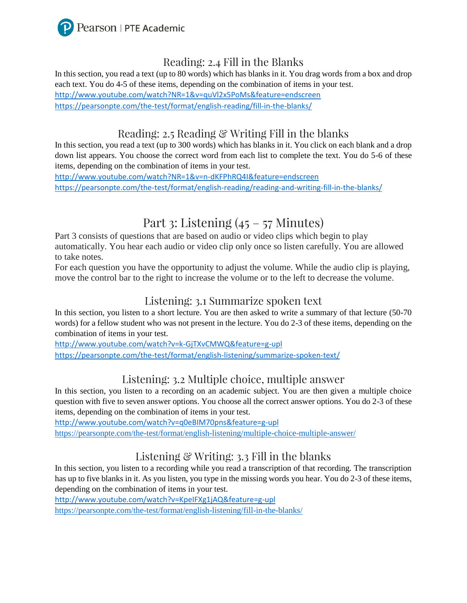

### Reading: 2.4 Fill in the Blanks

In this section, you read a text (up to 80 words) which has blanks in it. You drag words from a box and drop each text. You do 4-5 of these items, depending on the combination of items in your test. <http://www.youtube.com/watch?NR=1&v=quVl2x5PoMs&feature=endscreen> https://pearsonpte.com/the-test/format/english-reading/fill-in-the-blanks/

#### Reading: 2.5 Reading & Writing Fill in the blanks

In this section, you read a text (up to 300 words) which has blanks in it. You click on each blank and a drop down list appears. You choose the correct word from each list to complete the text. You do 5-6 of these items, depending on the combination of items in your test.

<http://www.youtube.com/watch?NR=1&v=n-dKFPhRQ4I&feature=endscreen> https://pearsonpte.com/the-test/format/english-reading/reading-and-writing-fill-in-the-blanks/

# Part 3: Listening (45 – 57 Minutes)

Part 3 consists of questions that are based on audio or video clips which begin to play automatically. You hear each audio or video clip only once so listen carefully. You are allowed to take notes.

For each question you have the opportunity to adjust the volume. While the audio clip is playing, move the control bar to the right to increase the volume or to the left to decrease the volume.

#### Listening: 3.1 Summarize spoken text

In this section, you listen to a short lecture. You are then asked to write a summary of that lecture (50-70 words) for a fellow student who was not present in the lecture. You do 2-3 of these items, depending on the combination of items in your test.

<http://www.youtube.com/watch?v=k-GjTXvCMWQ&feature=g-upl> https://pearsonpte.com/the-test/format/english-listening/summarize-spoken-text/

## Listening: 3.2 Multiple choice, multiple answer

In this section, you listen to a recording on an academic subject. You are then given a multiple choice question with five to seven answer options. You choose all the correct answer options. You do 2-3 of these items, depending on the combination of items in your test.

<http://www.youtube.com/watch?v=q0eBIM70pns&feature=g-upl> <https://pearsonpte.com/the-test/format/english-listening/multiple-choice-multiple-answer/>

## Listening & Writing: 3.3 Fill in the blanks

In this section, you listen to a recording while you read a transcription of that recording. The transcription has up to five blanks in it. As you listen, you type in the missing words you hear. You do 2-3 of these items, depending on the combination of items in your test.

<http://www.youtube.com/watch?v=KpeIFXg1jAQ&feature=g-upl>

<https://pearsonpte.com/the-test/format/english-listening/fill-in-the-blanks/>